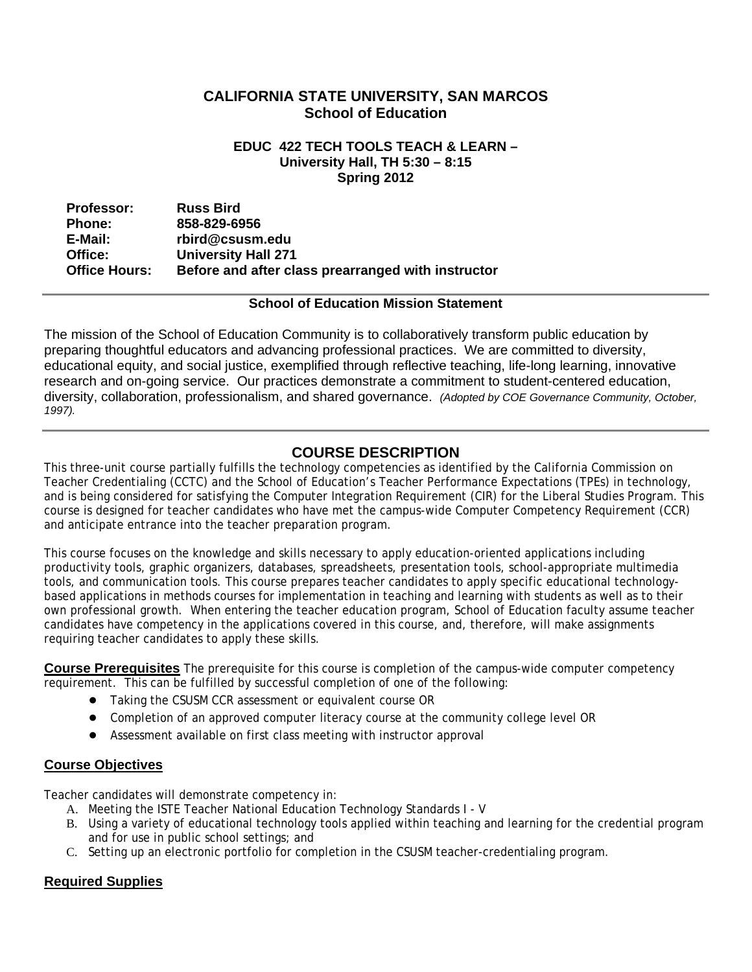# **CALIFORNIA STATE UNIVERSITY, SAN MARCOS School of Education**

#### **EDUC 422 TECH TOOLS TEACH & LEARN – University Hall, TH 5:30 – 8:15 Spring 2012**

| <b>Professor:</b>    | <b>Russ Bird</b>                                   |
|----------------------|----------------------------------------------------|
| <b>Phone:</b>        | 858-829-6956                                       |
| E-Mail:              | rbird@csusm.edu                                    |
| Office:              | <b>University Hall 271</b>                         |
| <b>Office Hours:</b> | Before and after class prearranged with instructor |

#### **School of Education Mission Statement**

The mission of the School of Education Community is to collaboratively transform public education by preparing thoughtful educators and advancing professional practices. We are committed to diversity, educational equity, and social justice, exemplified through reflective teaching, life-long learning, innovative research and on-going service. Our practices demonstrate a commitment to student-centered education, diversity, collaboration, professionalism, and shared governance. *(Adopted by COE Governance Community, October, 1997).* 

# **COURSE DESCRIPTION**

This three-unit course partially fulfills the technology competencies as identified by the California Commission on Teacher Credentialing (CCTC) and the School of Education's Teacher Performance Expectations (TPEs) in technology, and is being considered for satisfying the Computer Integration Requirement (CIR) for the Liberal Studies Program. This course is designed for teacher candidates who have met the campus-wide Computer Competency Requirement (CCR) and anticipate entrance into the teacher preparation program.

This course focuses on the knowledge and skills necessary to apply education-oriented applications including productivity tools, graphic organizers, databases, spreadsheets, presentation tools, school-appropriate multimedia tools, and communication tools. This course prepares teacher candidates to apply specific educational technologybased applications in methods courses for implementation in teaching and learning with students as well as to their own professional growth. When entering the teacher education program, School of Education faculty assume teacher candidates have competency in the applications covered in this course, and, therefore, will make assignments requiring teacher candidates to apply these skills.

**Course Prerequisites** The prerequisite for this course is completion of the campus-wide computer competency requirement. This can be fulfilled by successful completion of one of the following:

- **●** Taking the CSUSM CCR assessment or equivalent course OR
- **●** Completion of an approved computer literacy course at the community college level OR
- **●** Assessment available on first class meeting with instructor approval

#### **Course Objectives**

Teacher candidates will demonstrate competency in:

- A. Meeting the ISTE Teacher National Education Technology Standards I V
- B. Using a variety of educational technology tools applied within teaching and learning for the credential program and for use in public school settings; and
- C. Setting up an electronic portfolio for completion in the CSUSM teacher-credentialing program.

#### **Required Supplies**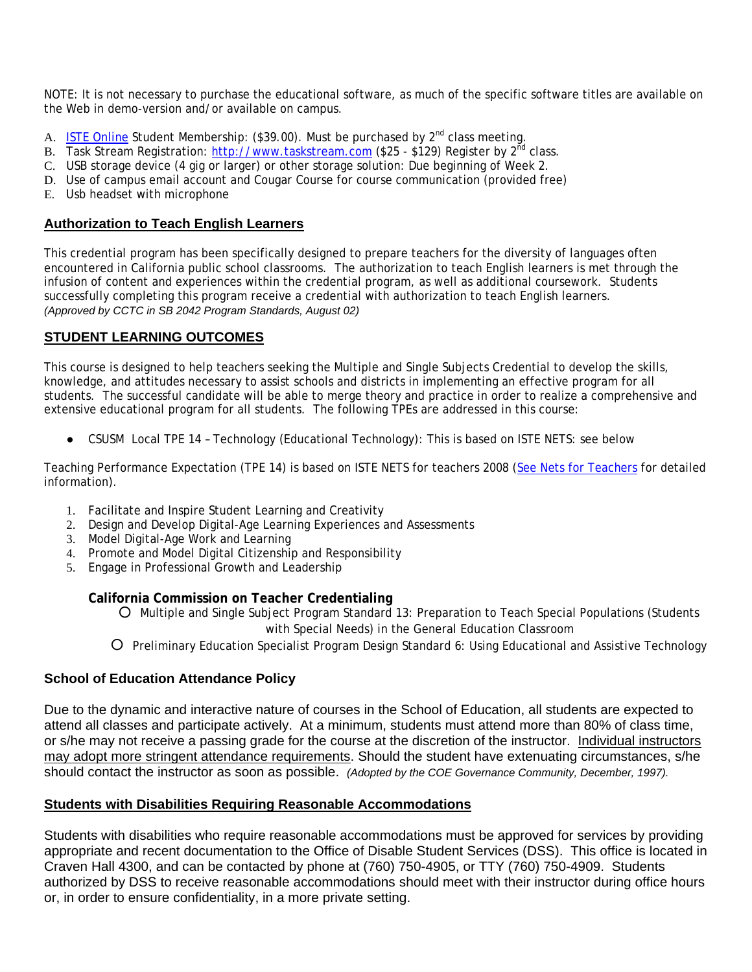NOTE: It is not necessary to purchase the educational software, as much of the specific software titles are available on the Web in demo-version and/or available on campus.

- A. ISTE Online Student Membership: (\$39.00). Must be purchased by 2<sup>nd</sup> class meeting.
- B. Task Stream Registration: http://www.taskstream.com (\$25 \$129) Register by  $2^{nd}$  class.
- C. USB storage device (4 gig or larger) or other storage solution: Due beginning of Week 2.
- D. Use of campus email account and Cougar Course for course communication (provided free)
- E. Usb headset with microphone

### **Authorization to Teach English Learners**

This credential program has been specifically designed to prepare teachers for the diversity of languages often encountered in California public school classrooms. The authorization to teach English learners is met through the infusion of content and experiences within the credential program, as well as additional coursework. Students successfully completing this program receive a credential with authorization to teach English learners. *(Approved by CCTC in SB 2042 Program Standards, August 02)* 

# **STUDENT LEARNING OUTCOMES**

This course is designed to help teachers seeking the Multiple and Single Subjects Credential to develop the skills, knowledge, and attitudes necessary to assist schools and districts in implementing an effective program for all students. The successful candidate will be able to merge theory and practice in order to realize a comprehensive and extensive educational program for all students. The following TPEs are addressed in this course:

● CSUSM Local TPE 14 - Technology (Educational Technology): This is based on ISTE NETS: see below

Teaching Performance Expectation (TPE 14) is based on ISTE NETS for teachers 2008 (See Nets for Teachers for detailed information).

- 1. Facilitate and Inspire Student Learning and Creativity
- 2. Design and Develop Digital-Age Learning Experiences and Assessments
- 3. Model Digital-Age Work and Learning
- 4. Promote and Model Digital Citizenship and Responsibility
- 5. Engage in Professional Growth and Leadership

#### **California Commission on Teacher Credentialing**

○ Multiple and Single Subject Program Standard 13: Preparation to Teach Special Populations (Students with Special Needs) in the General Education Classroom

○ Preliminary Education Specialist Program Design Standard 6: Using Educational and Assistive Technology

#### **School of Education Attendance Policy**

 should contact the instructor as soon as possible. *(Adopted by the COE Governance Community, December, 1997).* Due to the dynamic and interactive nature of courses in the School of Education, all students are expected to attend all classes and participate actively. At a minimum, students must attend more than 80% of class time, or s/he may not receive a passing grade for the course at the discretion of the instructor. Individual instructors may adopt more stringent attendance requirements. Should the student have extenuating circumstances, s/he

#### **Students with Disabilities Requiring Reasonable Accommodations**

Students with disabilities who require reasonable accommodations must be approved for services by providing appropriate and recent documentation to the Office of Disable Student Services (DSS). This office is located in Craven Hall 4300, and can be contacted by phone at (760) 750-4905, or TTY (760) 750-4909. Students authorized by DSS to receive reasonable accommodations should meet with their instructor during office hours or, in order to ensure confidentiality, in a more private setting.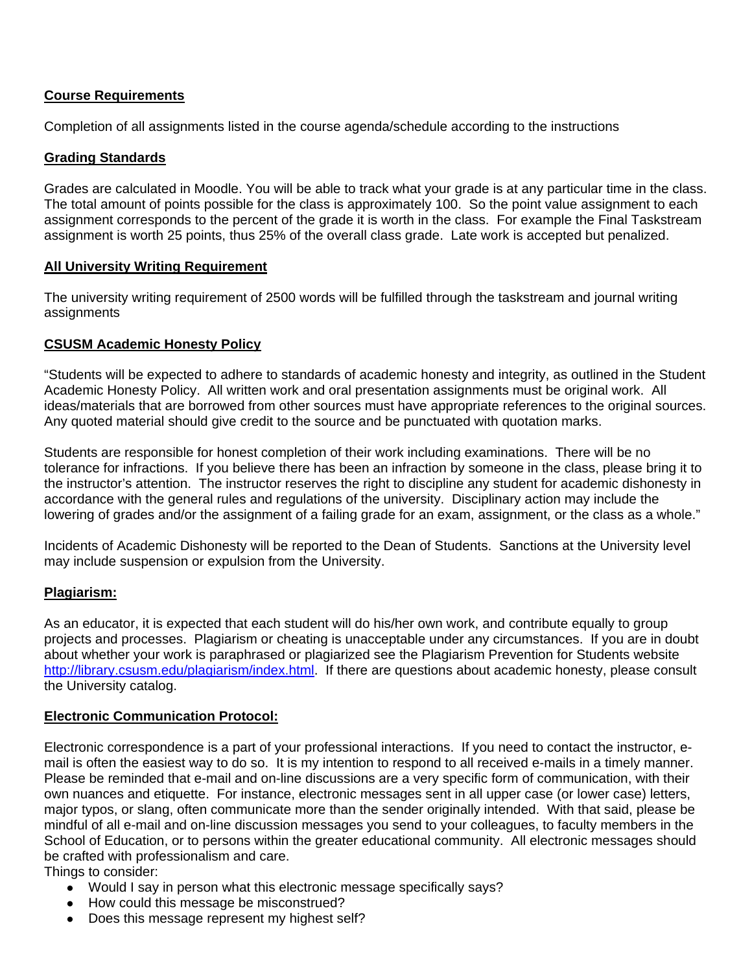## **Course Requirements**

Completion of all assignments listed in the course agenda/schedule according to the instructions

## **Grading Standards**

Grades are calculated in Moodle. You will be able to track what your grade is at any particular time in the class. The total amount of points possible for the class is approximately 100. So the point value assignment to each assignment corresponds to the percent of the grade it is worth in the class. For example the Final Taskstream assignment is worth 25 points, thus 25% of the overall class grade. Late work is accepted but penalized.

#### **All University Writing Requirement**

The university writing requirement of 2500 words will be fulfilled through the taskstream and journal writing assignments

## **CSUSM Academic Honesty Policy**

"Students will be expected to adhere to standards of academic honesty and integrity, as outlined in the Student Academic Honesty Policy. All written work and oral presentation assignments must be original work. All ideas/materials that are borrowed from other sources must have appropriate references to the original sources. Any quoted material should give credit to the source and be punctuated with quotation marks.

Students are responsible for honest completion of their work including examinations. There will be no tolerance for infractions. If you believe there has been an infraction by someone in the class, please bring it to the instructor's attention. The instructor reserves the right to discipline any student for academic dishonesty in accordance with the general rules and regulations of the university. Disciplinary action may include the lowering of grades and/or the assignment of a failing grade for an exam, assignment, or the class as a whole."

Incidents of Academic Dishonesty will be reported to the Dean of Students. Sanctions at the University level may include suspension or expulsion from the University.

#### **Plagiarism:**

As an educator, it is expected that each student will do his/her own work, and contribute equally to group projects and processes. Plagiarism or cheating is unacceptable under any circumstances. If you are in doubt about whether your work is paraphrased or plagiarized see the Plagiarism Prevention for Students website http://library.csusm.edu/plagiarism/index.html. If there are questions about academic honesty, please consult the University catalog.

#### **Electronic Communication Protocol:**

Electronic correspondence is a part of your professional interactions. If you need to contact the instructor, email is often the easiest way to do so. It is my intention to respond to all received e-mails in a timely manner. Please be reminded that e-mail and on-line discussions are a very specific form of communication, with their own nuances and etiquette. For instance, electronic messages sent in all upper case (or lower case) letters, major typos, or slang, often communicate more than the sender originally intended. With that said, please be mindful of all e-mail and on-line discussion messages you send to your colleagues, to faculty members in the School of Education, or to persons within the greater educational community. All electronic messages should be crafted with professionalism and care.

Things to consider:

- Would I say in person what this electronic message specifically says?
- How could this message be misconstrued?
- Does this message represent my highest self?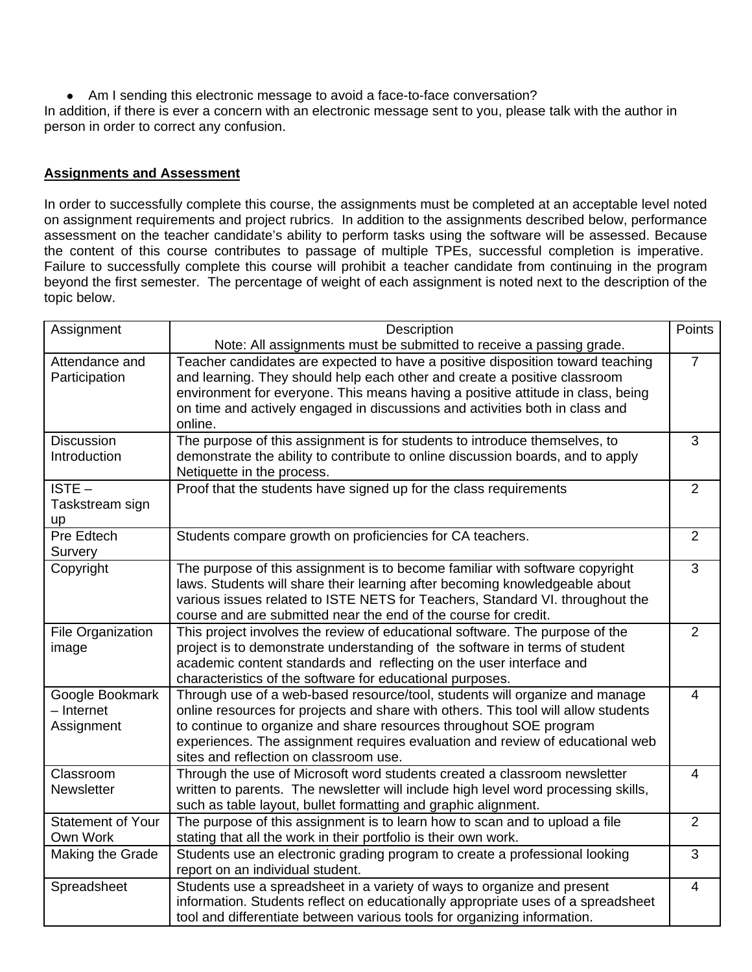• Am I sending this electronic message to avoid a face-to-face conversation?

In addition, if there is ever a concern with an electronic message sent to you, please talk with the author in person in order to correct any confusion.

### **Assignments and Assessment**

In order to successfully complete this course, the assignments must be completed at an acceptable level noted on assignment requirements and project rubrics. In addition to the assignments described below, performance assessment on the teacher candidate's ability to perform tasks using the software will be assessed. Because the content of this course contributes to passage of multiple TPEs, successful completion is imperative. Failure to successfully complete this course will prohibit a teacher candidate from continuing in the program beyond the first semester. The percentage of weight of each assignment is noted next to the description of the topic below.

| Assignment               | Description                                                                        | Points         |
|--------------------------|------------------------------------------------------------------------------------|----------------|
|                          | Note: All assignments must be submitted to receive a passing grade.                |                |
| Attendance and           | Teacher candidates are expected to have a positive disposition toward teaching     | $\overline{7}$ |
| Participation            | and learning. They should help each other and create a positive classroom          |                |
|                          | environment for everyone. This means having a positive attitude in class, being    |                |
|                          | on time and actively engaged in discussions and activities both in class and       |                |
|                          | online.                                                                            |                |
| Discussion               | The purpose of this assignment is for students to introduce themselves, to         | 3              |
| Introduction             | demonstrate the ability to contribute to online discussion boards, and to apply    |                |
|                          | Netiquette in the process.                                                         |                |
| $ISTE -$                 | Proof that the students have signed up for the class requirements                  | 2              |
| Taskstream sign          |                                                                                    |                |
| up                       |                                                                                    |                |
| <b>Pre Edtech</b>        | Students compare growth on proficiencies for CA teachers.                          | $\overline{2}$ |
| Survery                  |                                                                                    |                |
| Copyright                | The purpose of this assignment is to become familiar with software copyright       | $\overline{3}$ |
|                          | laws. Students will share their learning after becoming knowledgeable about        |                |
|                          | various issues related to ISTE NETS for Teachers, Standard VI. throughout the      |                |
|                          | course and are submitted near the end of the course for credit.                    |                |
| <b>File Organization</b> | This project involves the review of educational software. The purpose of the       | $\overline{2}$ |
| image                    | project is to demonstrate understanding of the software in terms of student        |                |
|                          | academic content standards and reflecting on the user interface and                |                |
|                          | characteristics of the software for educational purposes.                          |                |
| Google Bookmark          | Through use of a web-based resource/tool, students will organize and manage        | $\overline{4}$ |
| - Internet               | online resources for projects and share with others. This tool will allow students |                |
| Assignment               | to continue to organize and share resources throughout SOE program                 |                |
|                          | experiences. The assignment requires evaluation and review of educational web      |                |
|                          | sites and reflection on classroom use.                                             |                |
| Classroom                | Through the use of Microsoft word students created a classroom newsletter          | $\overline{4}$ |
| Newsletter               | written to parents. The newsletter will include high level word processing skills, |                |
|                          | such as table layout, bullet formatting and graphic alignment.                     |                |
| <b>Statement of Your</b> | The purpose of this assignment is to learn how to scan and to upload a file        | $\overline{2}$ |
| Own Work                 | stating that all the work in their portfolio is their own work.                    |                |
| Making the Grade         | Students use an electronic grading program to create a professional looking        | 3              |
|                          | report on an individual student.                                                   |                |
| Spreadsheet              | Students use a spreadsheet in a variety of ways to organize and present            | $\overline{4}$ |
|                          | information. Students reflect on educationally appropriate uses of a spreadsheet   |                |
|                          | tool and differentiate between various tools for organizing information.           |                |